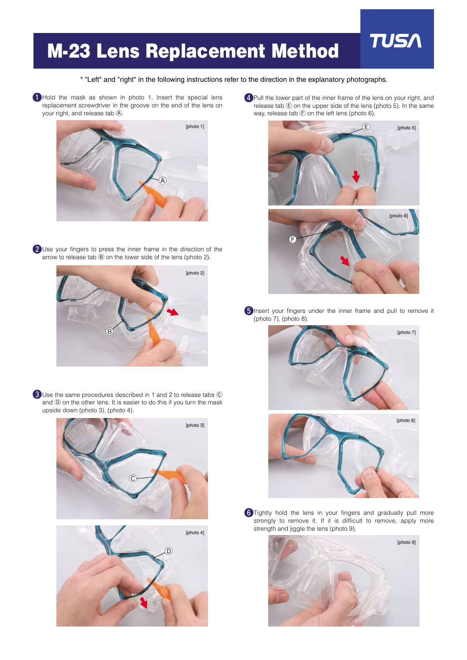## **M-23 Lens Replacement Method**

\* "Left" and "right" in the following instructions refer to the direction in the explanatory photographs.

Hold the mask as shown in photo 1. Insert the special lens replacement screwdriver in the groove on the end of the lens on your right, and release tab  $\textcircled{A}$ .



**2** Use your fingers to press the inner frame in the direction of the arrow to release tab  $\circledB$  on the lower side of the lens (photo 2).



**3** Use the same procedures described in 1 and 2 to release tabs  $\heartsuit$ and  $(\overline{D})$  on the other lens. It is easier to do this if you turn the mask upside down (photo 3), (photo 4).



4 Pull the lower part of the inner frame of the lens on your right, and release tab  $\circled{E}$  on the upper side of the lens (photo 5). In the same way, release tab  $\bigoplus$  on the left lens (photo 6).

**TUS** 



**S**Insert your fingers under the inner frame and pull to remove it (photo 7), (photo 8).



**6** Tightly hold the lens in your fingers and gradually pull more strongly to remove it. If it is difficult to remove, apply more strength and jiggle the lens (photo 9).